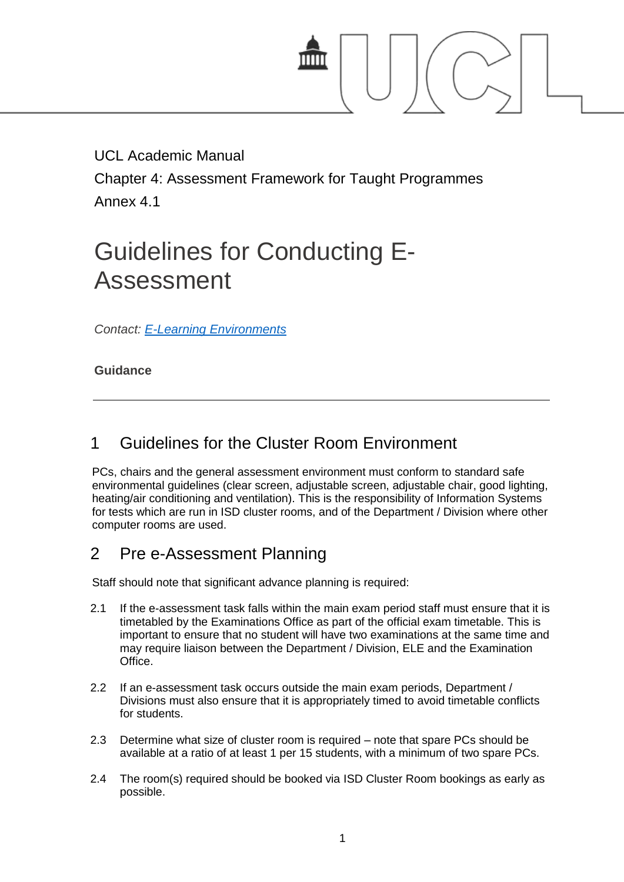

UCL Academic Manual

Chapter 4: Assessment Framework for Taught Programmes Annex 4.1

# Guidelines for Conducting E-Assessment

*Contact: [E-Learning Environments](http://www.ucl.ac.uk/teaching-learning/support/elearning)*

### **Guidance**

# 1 Guidelines for the Cluster Room Environment

PCs, chairs and the general assessment environment must conform to standard safe environmental guidelines (clear screen, adjustable screen, adjustable chair, good lighting, heating/air conditioning and ventilation). This is the responsibility of Information Systems for tests which are run in ISD cluster rooms, and of the Department / Division where other computer rooms are used.

# 2 Pre e-Assessment Planning

Staff should note that significant advance planning is required:

- 2.1 If the e-assessment task falls within the main exam period staff must ensure that it is timetabled by the Examinations Office as part of the official exam timetable. This is important to ensure that no student will have two examinations at the same time and may require liaison between the Department / Division, ELE and the Examination Office.
- 2.2 If an e-assessment task occurs outside the main exam periods, Department / Divisions must also ensure that it is appropriately timed to avoid timetable conflicts for students.
- 2.3 Determine what size of cluster room is required note that spare PCs should be available at a ratio of at least 1 per 15 students, with a minimum of two spare PCs.
- 2.4 The room(s) required should be booked via ISD Cluster Room bookings as early as possible.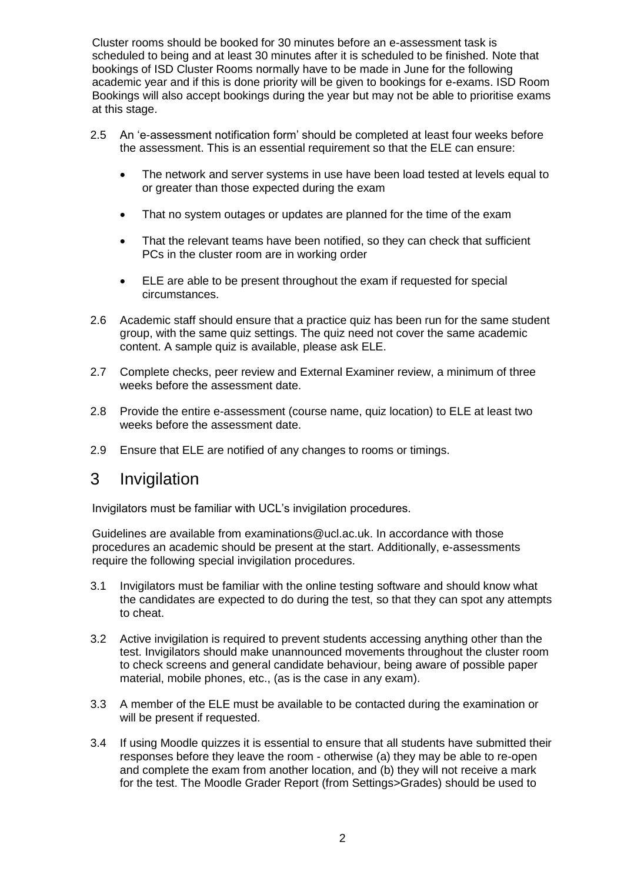Cluster rooms should be booked for 30 minutes before an e-assessment task is scheduled to being and at least 30 minutes after it is scheduled to be finished. Note that bookings of ISD Cluster Rooms normally have to be made in June for the following academic year and if this is done priority will be given to bookings for e-exams. ISD Room Bookings will also accept bookings during the year but may not be able to prioritise exams at this stage.

- 2.5 An 'e-assessment notification form' should be completed at least four weeks before the assessment. This is an essential requirement so that the ELE can ensure:
	- The network and server systems in use have been load tested at levels equal to or greater than those expected during the exam
	- That no system outages or updates are planned for the time of the exam
	- That the relevant teams have been notified, so they can check that sufficient PCs in the cluster room are in working order
	- ELE are able to be present throughout the exam if requested for special circumstances.
- 2.6 Academic staff should ensure that a practice quiz has been run for the same student group, with the same quiz settings. The quiz need not cover the same academic content. A sample quiz is available, please ask ELE.
- 2.7 Complete checks, peer review and External Examiner review, a minimum of three weeks before the assessment date.
- 2.8 Provide the entire e-assessment (course name, quiz location) to ELE at least two weeks before the assessment date.
- 2.9 Ensure that ELE are notified of any changes to rooms or timings.

### 3 Invigilation

Invigilators must be familiar with UCL's invigilation procedures.

Guidelines are available from examinations@ucl.ac.uk. In accordance with those procedures an academic should be present at the start. Additionally, e-assessments require the following special invigilation procedures.

- 3.1 Invigilators must be familiar with the online testing software and should know what the candidates are expected to do during the test, so that they can spot any attempts to cheat.
- 3.2 Active invigilation is required to prevent students accessing anything other than the test. Invigilators should make unannounced movements throughout the cluster room to check screens and general candidate behaviour, being aware of possible paper material, mobile phones, etc., (as is the case in any exam).
- 3.3 A member of the ELE must be available to be contacted during the examination or will be present if requested.
- 3.4 If using Moodle quizzes it is essential to ensure that all students have submitted their responses before they leave the room - otherwise (a) they may be able to re-open and complete the exam from another location, and (b) they will not receive a mark for the test. The Moodle Grader Report (from Settings>Grades) should be used to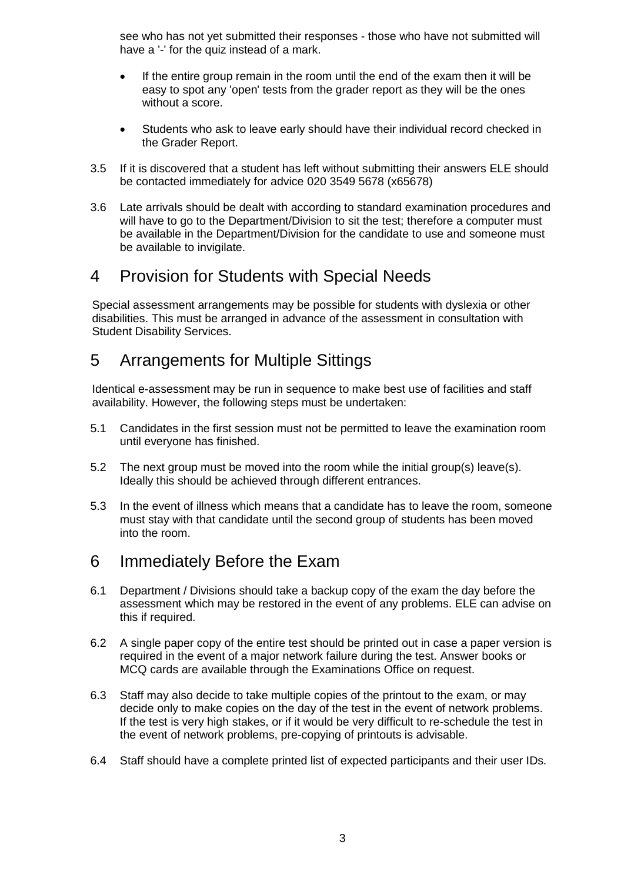see who has not yet submitted their responses - those who have not submitted will have a '-' for the quiz instead of a mark.

- If the entire group remain in the room until the end of the exam then it will be easy to spot any 'open' tests from the grader report as they will be the ones without a score.
- Students who ask to leave early should have their individual record checked in the Grader Report.
- 3.5 If it is discovered that a student has left without submitting their answers ELE should be contacted immediately for advice 020 3549 5678 (x65678)
- 3.6 Late arrivals should be dealt with according to standard examination procedures and will have to go to the Department/Division to sit the test; therefore a computer must be available in the Department/Division for the candidate to use and someone must be available to invigilate.

## 4 Provision for Students with Special Needs

Special assessment arrangements may be possible for students with dyslexia or other disabilities. This must be arranged in advance of the assessment in consultation with Student Disability Services.

### 5 Arrangements for Multiple Sittings

Identical e-assessment may be run in sequence to make best use of facilities and staff availability. However, the following steps must be undertaken:

- 5.1 Candidates in the first session must not be permitted to leave the examination room until everyone has finished.
- 5.2 The next group must be moved into the room while the initial group(s) leave(s). Ideally this should be achieved through different entrances.
- 5.3 In the event of illness which means that a candidate has to leave the room, someone must stay with that candidate until the second group of students has been moved into the room.

# 6 Immediately Before the Exam

- 6.1 Department / Divisions should take a backup copy of the exam the day before the assessment which may be restored in the event of any problems. ELE can advise on this if required.
- 6.2 A single paper copy of the entire test should be printed out in case a paper version is required in the event of a major network failure during the test. Answer books or MCQ cards are available through the Examinations Office on request.
- 6.3 Staff may also decide to take multiple copies of the printout to the exam, or may decide only to make copies on the day of the test in the event of network problems. If the test is very high stakes, or if it would be very difficult to re-schedule the test in the event of network problems, pre-copying of printouts is advisable.
- 6.4 Staff should have a complete printed list of expected participants and their user IDs.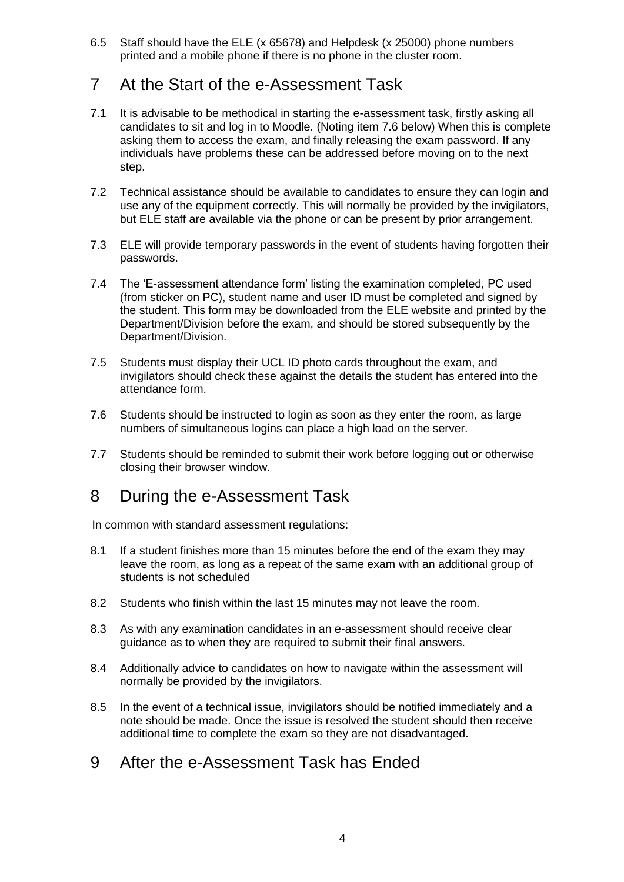6.5 Staff should have the ELE (x 65678) and Helpdesk (x 25000) phone numbers printed and a mobile phone if there is no phone in the cluster room.

# 7 At the Start of the e-Assessment Task

- 7.1 It is advisable to be methodical in starting the e-assessment task, firstly asking all candidates to sit and log in to Moodle. (Noting item 7.6 below) When this is complete asking them to access the exam, and finally releasing the exam password. If any individuals have problems these can be addressed before moving on to the next step.
- 7.2 Technical assistance should be available to candidates to ensure they can login and use any of the equipment correctly. This will normally be provided by the invigilators, but ELE staff are available via the phone or can be present by prior arrangement.
- 7.3 ELE will provide temporary passwords in the event of students having forgotten their passwords.
- 7.4 The 'E-assessment attendance form' listing the examination completed, PC used (from sticker on PC), student name and user ID must be completed and signed by the student. This form may be downloaded from the ELE website and printed by the Department/Division before the exam, and should be stored subsequently by the Department/Division.
- 7.5 Students must display their UCL ID photo cards throughout the exam, and invigilators should check these against the details the student has entered into the attendance form.
- 7.6 Students should be instructed to login as soon as they enter the room, as large numbers of simultaneous logins can place a high load on the server.
- 7.7 Students should be reminded to submit their work before logging out or otherwise closing their browser window.

### 8 During the e-Assessment Task

In common with standard assessment regulations:

- 8.1 If a student finishes more than 15 minutes before the end of the exam they may leave the room, as long as a repeat of the same exam with an additional group of students is not scheduled
- 8.2 Students who finish within the last 15 minutes may not leave the room.
- 8.3 As with any examination candidates in an e-assessment should receive clear guidance as to when they are required to submit their final answers.
- 8.4 Additionally advice to candidates on how to navigate within the assessment will normally be provided by the invigilators.
- 8.5 In the event of a technical issue, invigilators should be notified immediately and a note should be made. Once the issue is resolved the student should then receive additional time to complete the exam so they are not disadvantaged.
- 9 After the e-Assessment Task has Ended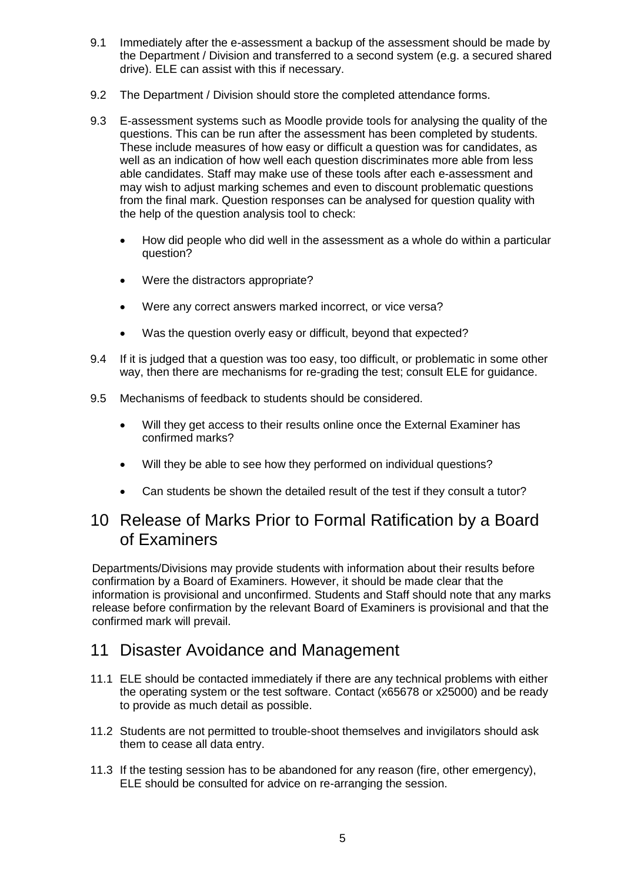- 9.1 Immediately after the e-assessment a backup of the assessment should be made by the Department / Division and transferred to a second system (e.g. a secured shared drive). ELE can assist with this if necessary.
- 9.2 The Department / Division should store the completed attendance forms.
- 9.3 E-assessment systems such as Moodle provide tools for analysing the quality of the questions. This can be run after the assessment has been completed by students. These include measures of how easy or difficult a question was for candidates, as well as an indication of how well each question discriminates more able from less able candidates. Staff may make use of these tools after each e-assessment and may wish to adjust marking schemes and even to discount problematic questions from the final mark. Question responses can be analysed for question quality with the help of the question analysis tool to check:
	- How did people who did well in the assessment as a whole do within a particular question?
	- Were the distractors appropriate?
	- Were any correct answers marked incorrect, or vice versa?
	- Was the question overly easy or difficult, beyond that expected?
- 9.4 If it is judged that a question was too easy, too difficult, or problematic in some other way, then there are mechanisms for re-grading the test; consult ELE for guidance.
- 9.5 Mechanisms of feedback to students should be considered.
	- Will they get access to their results online once the External Examiner has confirmed marks?
	- Will they be able to see how they performed on individual questions?
	- Can students be shown the detailed result of the test if they consult a tutor?

# 10 Release of Marks Prior to Formal Ratification by a Board of Examiners

Departments/Divisions may provide students with information about their results before confirmation by a Board of Examiners. However, it should be made clear that the information is provisional and unconfirmed. Students and Staff should note that any marks release before confirmation by the relevant Board of Examiners is provisional and that the confirmed mark will prevail.

### 11 Disaster Avoidance and Management

- 11.1 ELE should be contacted immediately if there are any technical problems with either the operating system or the test software. Contact (x65678 or x25000) and be ready to provide as much detail as possible.
- 11.2 Students are not permitted to trouble-shoot themselves and invigilators should ask them to cease all data entry.
- 11.3 If the testing session has to be abandoned for any reason (fire, other emergency), ELE should be consulted for advice on re-arranging the session.